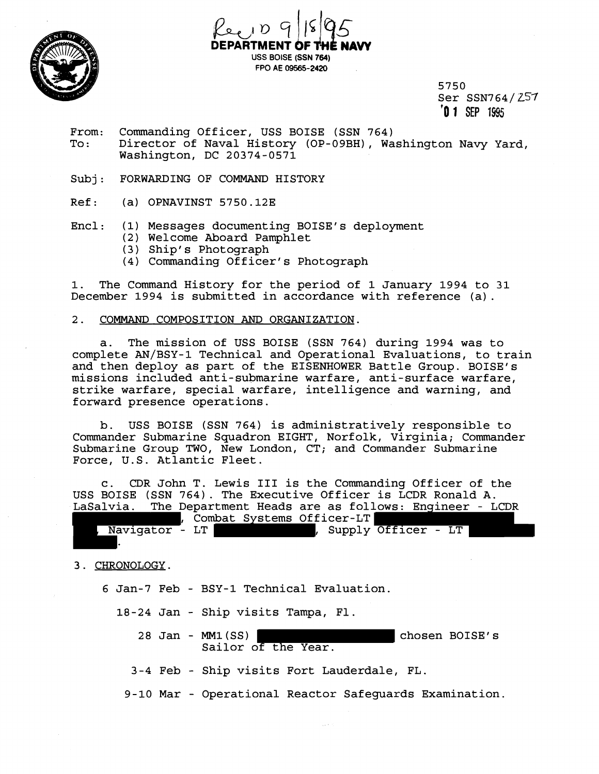



5750 Ser SSN764/257 **'0 1** SEP **1995** 

- From: Commanding Officer, USS BOISE (SSN 764) Director of Naval History (OP-09BH), Washington Navy Yard, Washington, DC 20374-0571
- Subj: FORWARDING OF COMMAND HISTORY
- Ref: (a) OPNAVINST 5750.12E
- Encl: (1) Messages documenting BOISE'S deployment
	- (2) Welcome Aboard Pamphlet
	- (3) Ship' s Photograph
	- (4) Commanding Officer's Photograph

1. The Command History for the period of 1 January 1994 to 31 December 1994 is submitted in accordance with reference (a).

## 2. COMMAND COMPOSITION **AND** ORGANIZATION.

a. The mission of USS BOISE (SSN 764) during 1994 was to complete AN/BSY-1 Technical and Operational Evaluations, to train and then deploy as part of the EISENHOWER Battle Group. BOISE'S missions included anti-submarine warfare, anti-surface warfare, strike warfare, special warfare, intelligence and warning, and forward presence operations.

b. USS BOISE (SSN 764) is administratively responsible to Commander Submarine Squadron EIGHT, Norfolk, Virginia; Commander Submarine Group TWO, New London, CT; and Commander Submarine Force, U.S. Atlantic Fleet.

c. CDR John T. Lewis 111 is the Commanding Officer of the USS BOISE (SSN 764). The Executive Officer is LCDR Ronald A. LaSalvia. The Department Heads are as follows: Engineer - LCDR

|                  |  |  | Combat Systems Officer-LT |                     |  |  |
|------------------|--|--|---------------------------|---------------------|--|--|
| , Navigator - LT |  |  |                           | Supply Officer - LT |  |  |
|                  |  |  |                           |                     |  |  |

3. CHRONOLOGY.

- 6 Jan-7 Feb BSY-1 Technical Evaluation.
	- 18-24 Jan Ship visits Tampa, F1.
		- 28 Jan MMl(SS) chosen BOISE'S Sailor of the Year.
		- 3-4 Feb Ship visits Fort Lauderdale, FL.
		- 9-10 Mar Operational Reactor Safeguards Examination.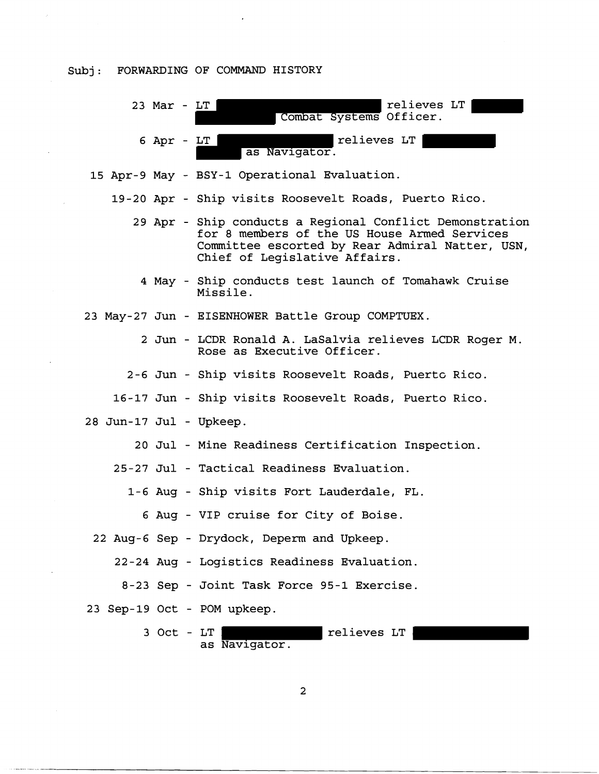## Subj: FORWARDING OF COMMAND HISTORY



15 Apr-9 May - BSY-1 Operational Evaluation.

19-20 Apr - Ship visits Roosevelt Roads, Puerto Rico.

- 29 Apr Ship conducts a Regional Conflict Demonstration for 8 members of the US House Armed Services Committee escorted by Rear Admiral Natter, USN, Chief of Legislative Affairs.
	- 4 May Ship conducts test launch of Tomahawk Cruise Missile.
- 23 May-27 Jun EISENHOWER Battle Group COMPTUEX.
	- 2 Jun LCDR Ronald A. LaSalvia relieves LCDR Roger M. Rose as Executive Officer.
	- 2-6 Jun Ship visits Roosevelt Roads, Puert~ Rico.
	- 16-17 Jun Ship visits Roosevelt Roads, Puerto Rico.
- 28 Jun-17 Jul Upkeep.
	- 20 Jul Mine Readiness Certification Inspection.

25-27 Jul - Tactical Readiness Evaluation.

1-6 Aug - Ship visits Fort Lauderdale, FL.

6 Aug - VIP cruise for City of Boise.

22 Aug-6 Sep - Drydock, Deperm and Upkeep.

22-24 Aug - Logistics Readiness Evaluation.

8-23 Sep - Joint Task Force 95-1 Exercise.

23 Sep-19 Oct - POM upkeep.

3 Oct - LT | relieves LT as Navigator.